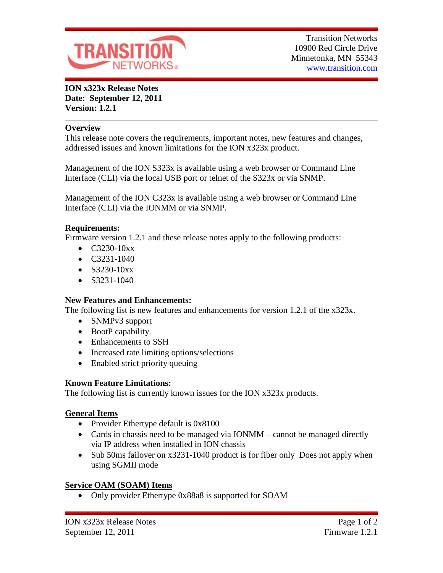

**ION x323x Release Notes Date: September 12, 2011 Version: 1.2.1**

### **Overview**

This release note covers the requirements, important notes, new features and changes, addressed issues and known limitations for the ION x323x product.

Management of the ION S323x is available using a web browser or Command Line Interface (CLI) via the local USB port or telnet of the S323x or via SNMP.

Management of the ION C323x is available using a web browser or Command Line Interface (CLI) via the IONMM or via SNMP.

#### **Requirements:**

Firmware version 1.2.1 and these release notes apply to the following products:

- $C3230-10xx$
- C3231-1040
- $S3230-10xx$
- $\bullet$  S3231-1040

#### **New Features and Enhancements:**

The following list is new features and enhancements for version 1.2.1 of the x323x.

- SNMPv3 support
- BootP capability
- Enhancements to SSH
- Increased rate limiting options/selections
- Enabled strict priority queuing

#### **Known Feature Limitations:**

The following list is currently known issues for the ION x323x products.

#### **General Items**

- Provider Ethertype default is 0x8100
- Cards in chassis need to be managed via IONMM cannot be managed directly via IP address when installed in ION chassis
- Sub 50ms failover on x3231-1040 product is for fiber only Does not apply when using SGMII mode

# **Service OAM (SOAM) Items**

• Only provider Ethertype 0x88a8 is supported for SOAM